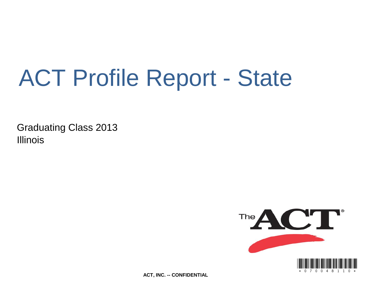# ACT Profile Report - State

Graduating Class 2013 **Illinois** 



**ACT, INC. -- CONFIDENTIAL**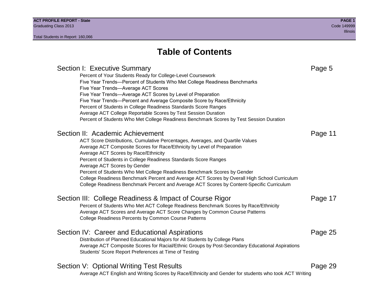## **Table of Contents**

Section I: Executive Summary **Page 5** Section 1: Executive Summary Percent of Your Students Ready for College-Level Coursework Five Year Trends—Percent of Students Who Met College Readiness Benchmarks Five Year Trends—Average ACT Scores Five Year Trends—Average ACT Scores by Level of Preparation Five Year Trends—Percent and Average Composite Score by Race/Ethnicity Percent of Students in College Readiness Standards Score Ranges Average ACT College Reportable Scores by Test Session Duration Percent of Students Who Met College Readiness Benchmark Scores by Test Session Duration Section II: Academic Achievement **Page 11** Academic Achievement ACT Score Distributions, Cumulative Percentages, Averages, and Quartile Values Average ACT Composite Scores for Race/Ethnicity by Level of Preparation Average ACT Scores by Race/Ethnicity Percent of Students in College Readiness Standards Score Ranges Average ACT Scores by Gender Percent of Students Who Met College Readiness Benchmark Scores by Gender College Readiness Benchmark Percent and Average ACT Scores by Overall High School Curriculum College Readiness Benchmark Percent and Average ACT Scores by Content-Specific Curriculum Section III: College Readiness & Impact of Course Rigor Page 17 Percent of Students Who Met ACT College Readiness Benchmark Scores by Race/Ethnicity Average ACT Scores and Average ACT Score Changes by Common Course Patterns College Readiness Percents by Common Course Patterns Section IV: Career and Educational Aspirations **Page 25** Page 25 Distribution of Planned Educational Majors for All Students by College Plans Average ACT Composite Scores for Racial/Ethnic Groups by Post-Secondary Educational Aspirations Students' Score Report Preferences at Time of Testing Section V: Optional Writing Test Results **Page 29** Page 29 Average ACT English and Writing Scores by Race/Ethnicity and Gender for students who took ACT Writing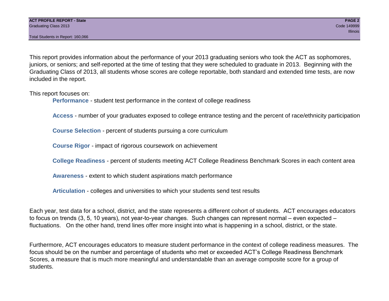This report provides information about the performance of your 2013 graduating seniors who took the ACT as sophomores, juniors, or seniors; and self-reported at the time of testing that they were scheduled to graduate in 2013. Beginning with the Graduating Class of 2013, all students whose scores are college reportable, both standard and extended time tests, are now included in the report.

This report focuses on:

**Performance** - student test performance in the context of college readiness

**Access** - number of your graduates exposed to college entrance testing and the percent of race/ethnicity participation

**Course Selection** - percent of students pursuing a core curriculum

**Course Rigor** - impact of rigorous coursework on achievement

**College Readiness** - percent of students meeting ACT College Readiness Benchmark Scores in each content area

**Awareness** - extent to which student aspirations match performance

**Articulation** - colleges and universities to which your students send test results

Each year, test data for a school, district, and the state represents a different cohort of students. ACT encourages educators to focus on trends (3, 5, 10 years), not year-to-year changes. Such changes can represent normal – even expected – fluctuations. On the other hand, trend lines offer more insight into what is happening in a school, district, or the state.

Furthermore, ACT encourages educators to measure student performance in the context of college readiness measures. The focus should be on the number and percentage of students who met or exceeded ACT's College Readiness Benchmark Scores, a measure that is much more meaningful and understandable than an average composite score for a group of students.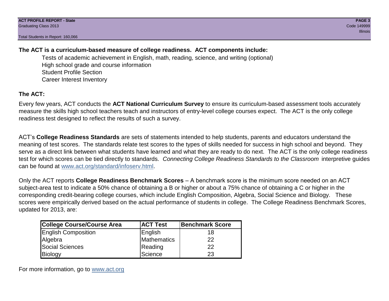## **The ACT is a curriculum-based measure of college readiness. ACT components include:**

Tests of academic achievement in English, math, reading, science, and writing (optional) High school grade and course information Student Profile Section Career Interest Inventory

## **The ACT:**

Every few years, ACT conducts the **ACT National Curriculum Survey** to ensure its curriculum-based assessment tools accurately measure the skills high school teachers teach and instructors of entry-level college courses expect. The ACT is the only college readiness test designed to reflect the results of such a survey.

ACT's **College Readiness Standards** are sets of statements intended to help students, parents and educators understand the meaning of test scores. The standards relate test scores to the types of skills needed for success in high school and beyond. They serve as a direct link between what students have learned and what they are ready to do next. The ACT is the only college readiness test for which scores can be tied directly to standards. *Connecting College Readiness Standards to the Classroom* interpretive guides can be found at www.act.org/standard/infoserv.html.

Only the ACT reports **College Readiness Benchmark Scores** – A benchmark score is the minimum score needed on an ACT subject-area test to indicate a 50% chance of obtaining a B or higher or about a 75% chance of obtaining a C or higher in the corresponding credit-bearing college courses, which include English Composition, Algebra, Social Science and Biology. These scores were empirically derived based on the actual performance of students in college. The College Readiness Benchmark Scores, updated for 2013, are:

| College Course/Course Area | <b>ACT Test</b> | <b>Benchmark Score</b> |
|----------------------------|-----------------|------------------------|
| <b>English Composition</b> | English         | 18                     |
| Algebra                    | Mathematics     | 22                     |
| <b>Social Sciences</b>     | Reading         | 22                     |
| Biology                    | Science         | 23                     |

For more information, go to www.act.org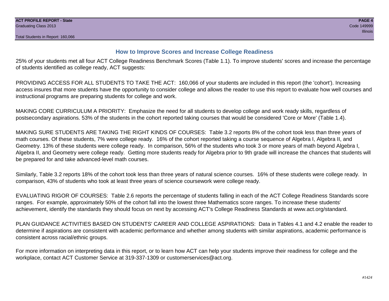## **How to Improve Scores and Increase College Readiness**

25% of your students met all four ACT College Readiness Benchmark Scores (Table 1.1). To improve students' scores and increase the percentage of students identified as college ready, ACT suggests:

PROVIDING ACCESS FOR ALL STUDENTS TO TAKE THE ACT: 160,066 of your students are included in this report (the 'cohort'). Increasing access insures that more students have the opportunity to consider college and allows the reader to use this report to evaluate how well courses and instructional programs are preparing students for college and work.

MAKING CORE CURRICULUM A PRIORITY: Emphasize the need for all students to develop college and work ready skills, regardless of postsecondary aspirations. 53% of the students in the cohort reported taking courses that would be considered 'Core or More' (Table 1.4).

MAKING SURE STUDENTS ARE TAKING THE RIGHT KINDS OF COURSES: Table 3.2 reports 8% of the cohort took less than three years of math courses. Of these students, 7% were college ready. 16% of the cohort reported taking a course sequence of Algebra I, Algebra II, and Geometry. 13% of these students were college ready. In comparison, 56% of the students who took 3 or more years of math beyond Algebra I, Algebra II, and Geometry were college ready. Getting more students ready for Algebra prior to 9th grade will increase the chances that students will be prepared for and take advanced-level math courses.

Similarly, Table 3.2 reports 18% of the cohort took less than three years of natural science courses. 16% of these students were college ready. In comparison, 43% of students who took at least three years of science coursework were college ready.

EVALUATING RIGOR OF COURSES: Table 2.6 reports the percentage of students falling in each of the ACT College Readiness Standards score ranges. For example, approximately 50% of the cohort fall into the lowest three Mathematics score ranges. To increase these students' achievement, identify the standards they should focus on next by accessing ACT's College Readiness Standards at www.act.org/standard.

PLAN GUIDANCE ACTIVITIES BASED ON STUDENTS' CAREER AND COLLEGE ASPIRATIONS: Data in Tables 4.1 and 4.2 enable the reader to determine if aspirations are consistent with academic performance and whether among students with similar aspirations, academic performance is consistent across racial/ethnic groups.

For more information on interpreting data in this report, or to learn how ACT can help your students improve their readiness for college and the workplace, contact ACT Customer Service at 319-337-1309 or customerservices@act.org.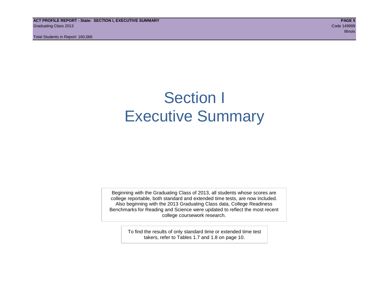## Section I Executive Summary

Beginning with the Graduating Class of 2013, all students whose scores are college reportable, both standard and extended time tests, are now included. Also beginning with the 2013 Graduating Class data, College Readiness Benchmarks for Reading and Science were updated to reflect the most recent college coursework research.

> To find the results of only standard time or extended time test takers, refer to Tables 1.7 and 1.8 on page 10.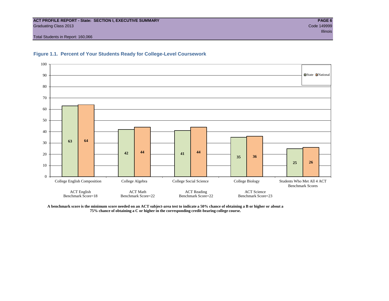#### **ACT PROFILE REPORT - State: SECTION I, EXECUTIVE SUMMARY PAGE 6** Graduating Class 2013 Code 149999

Total Students in Report: 160,066





**A benchmark score is the minimum score needed on an ACT subject-area test to indicate a 50% chance of obtaining a B or higher or about a 75% chance of obtaining a C or higher in the corresponding credit-bearing college course.**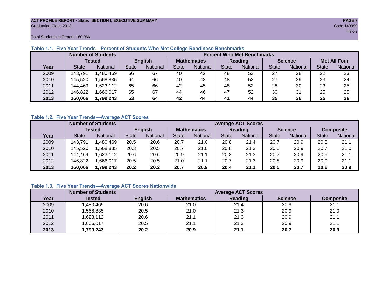#### **ACT PROFILE REPORT - State: SECTION I, EXECUTIVE SUMMARY PAGE 7** Graduating Class 2013 Code 149999

Total Students in Report: 160,066

|      |               | <b>Number of Students</b><br><b>Percent Who Met Benchmarks</b> |                |          |                    |          |              |                 |                |          |                     |          |  |  |
|------|---------------|----------------------------------------------------------------|----------------|----------|--------------------|----------|--------------|-----------------|----------------|----------|---------------------|----------|--|--|
|      | <b>Tested</b> |                                                                | <b>English</b> |          | <b>Mathematics</b> |          | Reading      |                 | <b>Science</b> |          | <b>Met All Four</b> |          |  |  |
| Year | <b>State</b>  | <b>National</b>                                                | <b>State</b>   | National | State              | National | <b>State</b> | <b>National</b> | <b>State</b>   | National | <b>State</b>        | National |  |  |
| 2009 | 143,791       | ,480,469                                                       | 66             | 67       | 40                 | 42       | 48           | 53              | 27             | 28       | 22                  | 23       |  |  |
| 2010 | 145,520       | ,568,835                                                       | 64             | 66       | 40                 | 43       | 48           | 52              | 27             | 29       | 23                  | 24       |  |  |
| 2011 | 144,469       | 1,623,112                                                      | 65             | 66       | 42                 | 45       | 48           | 52              | 28             | 30       | 23                  | 25       |  |  |
| 2012 | 146,822       | .666,017                                                       | 65             | 67       | 44                 | 46       | 47           | 52              | 30             | 31       | 25                  | 25       |  |  |
| 2013 | 160,066       | 1,799,243                                                      | 63             | 64       | 42                 | 44       | 41           | 44              | 35             | 36       | 25                  | 26       |  |  |

## **Table 1.1. Five Year Trends—Percent of Students Who Met College Readiness Benchmarks**

## **Table 1.2. Five Year Trends—Average ACT Scores**

|      |              | <b>Number of Students</b> |              |                   |                    | <b>Average ACT Scores</b> |                |                 |                |          |                  |          |  |  |  |
|------|--------------|---------------------------|--------------|-------------------|--------------------|---------------------------|----------------|-----------------|----------------|----------|------------------|----------|--|--|--|
|      |              | Tested                    |              | <b>English</b>    | <b>Mathematics</b> |                           | <b>Reading</b> |                 | <b>Science</b> |          | <b>Composite</b> |          |  |  |  |
| Year | <b>State</b> | <b>National</b>           | <b>State</b> | National<br>State |                    | National                  | <b>State</b>   | <b>National</b> | <b>State</b>   | National | <b>State</b>     | National |  |  |  |
| 2009 | 143,791      | .480,469                  | 20.5         | 20.6              | 20.7               | 21.0                      | 20.8           | 21.4            | 20.7           | 20.9     | 20.8             | 21.1     |  |  |  |
| 2010 | 145,520      | .568.835                  | 20.3         | 20.5              | 20.7               | 21.0                      | 20.8           | 21.3            | 20.5           | 20.9     | 20.7             | 21.0     |  |  |  |
| 2011 | 144,469      | .623,112                  | 20.6         | 20.6              | 20.9               | 21.1                      | 20.8           | 21.3            | 20.7           | 20.9     | 20.9             | 21.1     |  |  |  |
| 2012 | 146,822      | .666,017                  | 20.5         | 20.5              | 21.0               | 21.1                      | 20.7           | 21.3            | 20.8           | 20.9     | 20.9             | 21.1     |  |  |  |
| 2013 | 160,066      | 1,799.243                 | 20.2         | 20.2              | 20.7               | 20.9                      | 20.4           | 21.1            | 20.5           | 20.7     | 20.6             | 20.9     |  |  |  |

## **Table 1.3. Five Year Trends—Average ACT Scores Nationwide**

|      | <b>Number of Students</b> | <b>Average ACT Scores</b> |                    |         |                |                  |  |  |  |  |  |  |
|------|---------------------------|---------------------------|--------------------|---------|----------------|------------------|--|--|--|--|--|--|
| Year | Tested                    | <b>English</b>            | <b>Mathematics</b> | Reading | <b>Science</b> | <b>Composite</b> |  |  |  |  |  |  |
| 2009 | ,480,469                  | 20.6                      | 21.0               | 21.4    | 20.9           | 21.1             |  |  |  |  |  |  |
| 2010 | ,568,835                  | 20.5                      | 21.0               | 21.3    | 20.9           | 21.0             |  |  |  |  |  |  |
| 2011 | ,623,112                  | 20.6                      | 21.1               | 21.3    | 20.9           | 21.1             |  |  |  |  |  |  |
| 2012 | ,666,017                  | 20.5                      | 21.1               | 21.3    | 20.9           | 21.1             |  |  |  |  |  |  |
| 2013 | ,799,243                  | 20.2                      | 20.9               | 21.1    | 20.7           | 20.9             |  |  |  |  |  |  |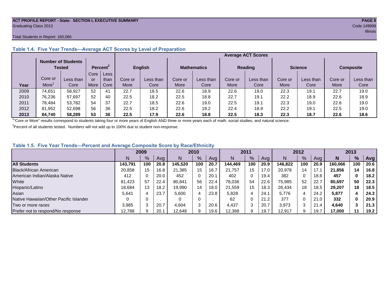#### **ACT PROFILE REPORT - State: SECTION I, EXECUTIVE SUMMARY PAGE 8** Graduating Class 2013 Code 149999

#### Total Students in Report: 160,066

|      |         | <b>Number of Students</b><br>Tested |      | Percent <sup>2</sup> |         | <b>English</b> |         | <b>Mathematics</b> | <b>Reading</b> |           | <b>Science</b> |           | <b>Composite</b> |           |
|------|---------|-------------------------------------|------|----------------------|---------|----------------|---------|--------------------|----------------|-----------|----------------|-----------|------------------|-----------|
|      |         |                                     | Core | Less                 |         |                |         |                    |                |           |                |           |                  |           |
|      | Core or | Less than                           | or   | than                 | Core or | Less than      | Core or | Less than          | Core or        | Less than | Core or        | Less than | Core or          | Less than |
| Year | More    | Core                                | More | Core                 | More    | Core           | More    | Core               | More           | Core      | More           | Core      | More             | Core      |
| 2009 | 74,651  | 58.927                              | 52   | 41                   | 22.7    | 18.5           | 22.6    | 18.9               | 22.6           | 19.0      | 22.3           | 19.1      | 22.7             | 19.0      |
| 2010 | 76,236  | 57.697                              | 52   | 40                   | 22.5    | 18.2           | 22.5    | 18.8               | 22.7           | 19.1      | 22.2           | 18.9      | 22.6             | 18.9      |
| 2011 | 78,484  | 53,782                              | 54   | 37                   | 22.7    | 18.5           | 22.6    | 19.0               | 22.5           | 19.1      | 22.3           | 19.0      | 22.6             | 19.0      |
| 2012 | 81,952  | 52.698                              | 56   | 36                   | 22.5    | 18.2           | 22.6    | 19.2               | 22.4           | 18.9      | 22.2           | 19.1      | 22.5             | 19.0      |
| 2013 | 84.740  | 58.289                              | 53   | 36                   | 22.5    | 17.9           | 22.6    | 18.8               | 22.5           | 18.3      | 22.3           | 18.7      | 22.6             | 18.6      |

## **Table 1.4. Five Year Trends—Average ACT Scores by Level of Preparation**

<sup>1</sup>"Core or More" results correspond to students taking four or more years of English AND three or more years each of math, social studies, and natural science.

 $2$ Percent of all students tested. Numbers will not add up to 100% due to student non-response.

## **Table 1.5. Five Year Trends—Percent and Average Composite Score by Race/Ethnicity**

|                                        | 2009    |     | 2010 |         | 2011          |      | 2012    |     |      | 2013    |     |      |         |     |      |
|----------------------------------------|---------|-----|------|---------|---------------|------|---------|-----|------|---------|-----|------|---------|-----|------|
|                                        | N.      | %   | Avg  | N       | $\frac{9}{6}$ | Avg  | N       | %   | Avg  | N       | %   | Ava  | N       | %   | Avg  |
| <b>All Students</b>                    | 143.791 | 100 | 20.8 | 145.520 | 100           | 20.7 | 144.469 | 100 | 20.9 | 146.822 | 100 | 20.9 | 160.066 | 100 | 20.6 |
| Black/African American                 | 20,858  | 15  | 16.8 | 21.385  | 15            | 16.7 | 21.757  | 15  | 17.0 | 20.978  | 14  |      | 21,856  | 14  | 16.8 |
| American Indian/Alaska Native          | 412     |     | 20.0 | 452     | 0             | 20.1 | 402     | 0   | 19.4 | 382     | 0   | 18.6 | 457     |     | 18.2 |
| White                                  | 81.423  | -57 | 22.4 | 80.841  | 56            | 22.4 | 78.036  | 54  | 22.6 | 75.985  | 52  | 22.7 | 80,697  | 50  | 22.3 |
| Hispanic/Latino                        | 18,684  | 13  | 18.2 | 19,990  | 14            | 18.0 | 21.559  | 15  | 18.3 | 26.434  | 18  | 18.5 | 29.207  | 18  | 18.5 |
| Asian                                  | 5,641   |     | 23.7 | 5,600   | 4             | 23.8 | 5,828   |     | 24.  | 5,776   | 4   | 24.2 | 5,877   |     | 24.3 |
| Native Hawaiian/Other Pacific Islander |         |     |      |         | 0             |      | 62      | 0   | 21.2 | 377     | 0   | 21.0 | 332     |     | 20.9 |
| Two or more races                      | 3.985   |     | 20.7 | 4,604   | 3             | 20.6 | 4.437   | 3   | 20.7 | 3,973   | 3   | 21.4 | 4,640   |     | 21.3 |
| Prefer not to respond/No response      | 12,788  |     | 20.7 | 12,648  | 9             | 19.6 | 12,388  | 9   | 19.7 | 12,917  | 9   | 19.7 | 17,000  | 11  | 19.2 |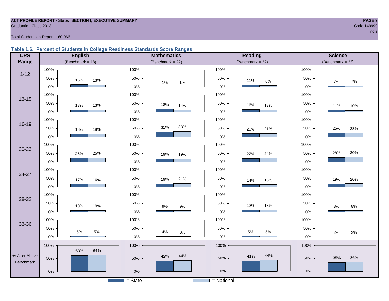#### **ACT PROFILE REPORT - State: SECTION I, EXECUTIVE SUMMARY PAGE 9 Graduating Class 2013** Code 149999

e a comparativa de la comparativa de la comparativa de la comparativa de la comparativa de llinois de llinois

#### Total Students in Report: 160,066

## **Table 1.6. Percent of Students in College Readiness Standards Score Ranges**

| <b>CRS</b>    | <b>English</b>      | <b>Mathematics</b>     | Reading            | <b>Science</b>      |
|---------------|---------------------|------------------------|--------------------|---------------------|
| Range         | (Benchmark = $18$ ) | (Benchmark = $22$ )    | $(Benchmark = 22)$ | (Benchmark = $23$ ) |
|               | 100%                | 100%                   | 100%               | 100%                |
| $1 - 12$      | 50%<br>15%<br>13%   | 50%                    | 50%<br>11%<br>8%   | 50%<br>$7\%$<br>7%  |
|               | $0\%$               | 1%<br>1%<br>$0\%$      | $0\%$              | $0\%$               |
|               | 100%                | 100%                   | 100%               | 100%                |
| $13 - 15$     | 50%<br>13%<br>13%   | 50%<br>18%<br>14%      | 50%<br>16%<br>13%  | 50%<br>11%<br>10%   |
|               | $0\%$               | $0\%$                  | $0\%$              | 0%                  |
|               | 100%                | 100%                   | 100%               | 100%                |
| $16 - 19$     | 50%<br>18%<br>18%   | 33%<br>31%<br>50%      | 50%<br>21%<br>20%  | 25%<br>50%<br>23%   |
|               | $0\%$               | 0%                     | $0\%$              | $0\%$               |
|               | 100%                | 100%                   | 100%               | 100%                |
| $20 - 23$     | 50%<br>25%<br>23%   | 50%<br>19%<br>19%      | 50%<br>24%<br>22%  | 30%<br>28%<br>50%   |
|               | $0\%$               | $0\%$                  | $0\%$              | $0\%$               |
|               | 100%                | 100%                   | 100%               | 100%                |
| 24-27         | 50%<br>17%<br>16%   | 50%<br>21%<br>19%      | 50%<br>14%<br>15%  | 50%<br>20%<br>19%   |
|               | $0\%$               | 0%                     | $0\%$              | $0\%$               |
| 28-32         | 100%                | 100%                   | 100%               | 100%                |
|               | 50%<br>10%<br>10%   | 50%<br>$9%$<br>$9\%$   | 50%<br>13%<br>12%  | 50%<br>8%<br>$8\%$  |
|               | $0\%$               | $0\%$                  | $0\%$              | $0\%$               |
| 33-36         | 100%                | 100%                   | 100%               | 100%                |
|               | 50%<br>5%<br>$5\%$  | 50%<br>4%              | 50%<br>$5\%$<br>5% | 50%                 |
|               | $0\%$               | 3%<br>$0\%$            | $0\%$              | 2%<br>2%<br>$0\%$   |
|               | 100%                | 100%                   | 100%               | 100%                |
| % At or Above | 64%<br>63%          | 44%<br>42%             | 44%<br>41%         |                     |
| Benchmark     | 50%                 | 50%                    | 50%                | 36%<br>35%<br>50%   |
|               | $0\%$               | $0\%$                  | $0\%$              | $0\%$               |
|               |                     | $\overline{S}$ = State | = National         |                     |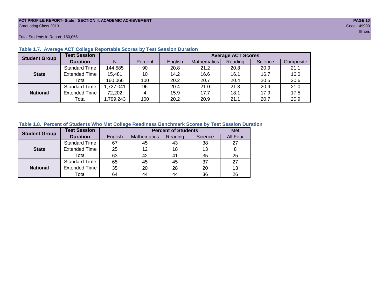#### **ACT PROFILE REPORT- State: SECTION II, ACADEMIC ACHIEVEMENT PAGE 10** Graduating Class 2013 Code 149999

Total Students in Report: 160,066

| <b>Student Group</b> | <b>Test Session</b>  |          |         |         | <b>Average ACT Scores</b> |         |         |           |  |  |  |  |  |
|----------------------|----------------------|----------|---------|---------|---------------------------|---------|---------|-----------|--|--|--|--|--|
|                      | <b>Duration</b>      | N        | Percent | English | Mathematics               | Reading | Science | Composite |  |  |  |  |  |
|                      | <b>Standard Time</b> | 144,585  | 90      | 20.8    | 21.2                      | 20.8    | 20.9    | 21.1      |  |  |  |  |  |
| <b>State</b>         | <b>Extended Time</b> | 15,481   | 10      | 14.2    | 16.6                      | 16.1    | 16.7    | 16.0      |  |  |  |  |  |
|                      | Total                | 160,066  | 100     | 20.2    | 20.7                      | 20.4    | 20.5    | 20.6      |  |  |  |  |  |
|                      | <b>Standard Time</b> | ,727,041 | 96      | 20.4    | 21.0                      | 21.3    | 20.9    | 21.0      |  |  |  |  |  |
| <b>National</b>      | <b>Extended Time</b> | 72,202   | 4       | 15.9    | 17.7                      | 18.1    | 17.9    | 17.5      |  |  |  |  |  |
|                      | Total                | ,799,243 | 100     | 20.2    | 20.9                      | 21.1    | 20.7    | 20.9      |  |  |  |  |  |

### **Table 1.7. Average ACT College Reportable Scores by Test Session Duration**

#### **Table 1.8. Percent of Students Who Met College Readiness Benchmark Scores by Test Session Duration**

| <b>Student Group</b> | <b>Test Session</b>  |         | <b>Percent of Students</b> |         |         |          |  |  |  |  |  |
|----------------------|----------------------|---------|----------------------------|---------|---------|----------|--|--|--|--|--|
|                      | <b>Duration</b>      | English | Mathematics                | Reading | Science | All Four |  |  |  |  |  |
|                      | Standard Time        | 67      | 45                         | 43      | 38      | 27       |  |  |  |  |  |
| <b>State</b>         | <b>Extended Time</b> | 25      | 12                         | 18      | 13      | 8        |  |  |  |  |  |
|                      | Total                | 63      | 42                         | 41      | 35      | 25       |  |  |  |  |  |
|                      | <b>Standard Time</b> | 65      | 45                         | 45      | 37      | 27       |  |  |  |  |  |
| <b>National</b>      | <b>Extended Time</b> | 35      | 20                         | 28      | 20      | 13       |  |  |  |  |  |
|                      | Total                | 64      | 44                         | 44      | 36      | 26       |  |  |  |  |  |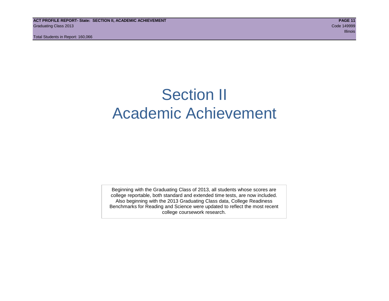## Section II Academic Achievement

Beginning with the Graduating Class of 2013, all students whose scores are college reportable, both standard and extended time tests, are now included. Also beginning with the 2013 Graduating Class data, College Readiness Benchmarks for Reading and Science were updated to reflect the most recent college coursework research.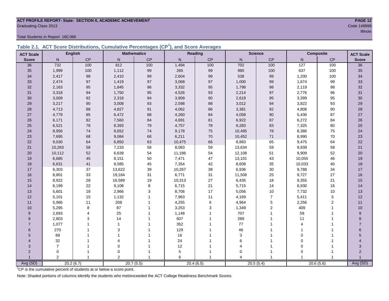#### **ACT PROFILE REPORT- State: SECTION II, ACADEMIC ACHIEVEMENT PAGE 12 Graduating Class 2013** Code 149999

Total Students in Report: 160,066

|                  |                |                |                |                    | able 2.1. ACT Score Distributions, Cumulative Percentages (CP), and Score Averages |              |                         |                |          |                |                  |
|------------------|----------------|----------------|----------------|--------------------|------------------------------------------------------------------------------------|--------------|-------------------------|----------------|----------|----------------|------------------|
| <b>ACT Scale</b> |                | <b>English</b> |                | <b>Mathematics</b> |                                                                                    | Reading      |                         | <b>Science</b> |          | Composite      | <b>ACT Scale</b> |
| <b>Score</b>     | N              | CP             | $\mathsf{N}$   | CP                 | N.                                                                                 | CP           | $\mathsf{N}$            | CP             | N.       | CP             | <b>Score</b>     |
| 36               | 732            | 100            | 812            | 100                | 1,494                                                                              | 100          | 702                     | 100            | 127      | 100            | 36               |
| 35               | 1,999          | 100            | 1,112          | 99                 | 265                                                                                | 99           | 990                     | 100            | 637      | 100            | 35               |
| 34               | 2,417          | 98             | 2,410          | 99                 | 2,604                                                                              | 99           | 538                     | 99             | 1,200    | 100            | 34               |
| 33               | 2,474          | 97             | 1,419          | 97                 | 3,068                                                                              | 97           | 1,000                   | 99             | 1,674    | 99             | 33               |
| 32               | 2,163          | 95             | 1,845          | 96                 | 3,332                                                                              | 95           | 1,798                   | 98             | 2,119    | 98             | 32               |
| 31               | 3,318          | 94             | 1,750          | 95                 | 4,526                                                                              | 93           | 2,214                   | 97             | 2,776    | 96             | 31               |
| $30\,$           | 3,009          | 92             | 2,318          | 94                 | 3,909                                                                              | $90\,$       | 2,619                   | 95             | 3,399    | 95             | 30               |
| 29               | 3,217          | $90\,$         | 3,008          | 93                 | 2,598                                                                              | 88           | 3,012                   | 94             | 3,822    | 93             | 29               |
| 28               | 4,713          | 88             | 4,827          | 91                 | 4,062                                                                              | 86           | 3,381                   | 92             | 4,808    | 90             | 28               |
| 27               | 4,779          | 85             | 6,472          | 88                 | 4,260                                                                              | 84           | 4,058                   | $90\,$         | 5,436    | 87             | 27               |
| 26               | 6,171          | 82             | 7,560          | 84                 | 4,691                                                                              | 81           | 6,922                   | 87             | 6,272    | 84             | 26               |
| 25               | 6,521          | 78             | 8,393          | 79                 | 4,757                                                                              | 78           | 8,283                   | 83             | 7,325    | 80             | 25               |
| 24               | 8,956          | $\bf 74$       | 8,652          | 74                 | 9,178                                                                              | 75           | 10,495                  | 78             | 8,386    | 75             | 24               |
| 23               | 7,695          | 68             | 9,084          | 68                 | 6,211                                                                              | $70\,$       | 10,452                  | $71\,$         | 8,990    | 70             | 23               |
| 22               | 9,030          | 64             | 6,850          | 63                 | 10,475                                                                             | 66           | 8,883                   | 65             | 9,475    | 64             | 22               |
| 21               | 10,283         | 58             | 7,233          | 58                 | 8,083                                                                              | 59           | 13,634                  | 59             | 9,939    | 58             | 21               |
| 20               | 10,112         | 52             | 6,639          | 54                 | 11,186                                                                             | 54           | 12,108                  | 51             | 9,909    | 52             | 20               |
| $19$             | 6,685          | 45             | 8,151          | 50                 | 7,471                                                                              | 47           | 13,101                  | 43             | 10,055   | 46             | 19               |
| $18$             | 6,631          | 41             | 8,585          | 45                 | 7,354                                                                              | 42           | 8,608                   | 35             | 10,033   | 40             | 18               |
| 17               | 6,303          | 37             | 13,622         | 39                 | 10,267                                                                             | 38           | 6,936                   | $30\,$         | 9,788    | 34             | 17               |
| 16               | 8,801          | 33             | 19,184         | 31                 | 6,771                                                                              | 31           | 11,508                  | 25             | 9,727    | 27             | 16               |
| 15               | 8,922          | 28             | 16,589         | 19                 | 10,313                                                                             | 27           | 6,435                   | 18             | 9,355    | 21             | 15               |
| 14               | 6,199          | 22             | 9,108          | 8                  | 6,715                                                                              | 21           | 5,715                   | 14             | 8,930    | 16             | 14               |
| $13$             | 5,601          | 18             | 2,966          | 3                  | 8,706                                                                              | 17           | 5,056                   | $10$           | 7,732    | 10             | 13               |
| 12               | 5,101          | 15             | 1,132          |                    | 7,963                                                                              | 11           | 4,169                   | $\overline{7}$ | 5,411    | 5              | 12               |
| 11               | 5,966          | 11             | 208            |                    | 4,255                                                                              | 6            | 4,964                   | $\sqrt{5}$     | 2,256    | $\overline{2}$ | 11               |
| $10$             | 5,295          | 8              | 87             |                    | 3,253                                                                              | 3            | 1,349                   | $\overline{2}$ | 409      |                | 10               |
| 9                | 2,693          | 4              | 25             |                    | 1,148                                                                              |              | 707                     |                | 59       |                | 9                |
| 8                | 2,803          | 3              | 14             |                    | 607                                                                                |              | 289                     |                | 11       |                | 8                |
| $\overline{7}$   | 1,077          |                |                |                    | 352                                                                                |              | 77                      |                |          |                | $\overline{7}$   |
| 6                | 270            |                | 3              |                    | 129                                                                                |              | 46                      |                |          |                | 6                |
| 5                | 89             |                |                |                    | 16                                                                                 |              | 3                       |                | $\Omega$ |                | 5                |
| 4                | 32             |                | 4              |                    | 24                                                                                 |              | 6                       |                | $\Omega$ |                |                  |
| 3                | $\overline{7}$ |                | $\Omega$       |                    | 12                                                                                 |              |                         |                | $\Omega$ |                | 3                |
| $\overline{2}$   | $\mathbf 0$    |                | 0              |                    | 5                                                                                  |              | $\Omega$                |                | $\Omega$ |                | $\overline{2}$   |
|                  | $\overline{2}$ |                | $\overline{2}$ | 1                  | 6                                                                                  | $\mathbf{1}$ | $\overline{\mathbf{4}}$ |                |          | -1             | $\overline{1}$   |

Avg (SD) 20.2 (6.7) 20.7 (5.5) 20.4 (6.5) 20.5 (5.4) 20.6 (5.6) Avg (SD)

**Table 2.1. ACT Score Distributions, Cumulative Percentages (CP<sup>1</sup> ), and Score Averages**

<sup>T</sup>CP is the cumulative percent of students at or below a score point.

Note: Shaded portions of columns identify the students who met/exceeded the ACT College Readiness Benchmark Scores.

e a construction de la construction de la construction de la construction de la construction de llinois de lli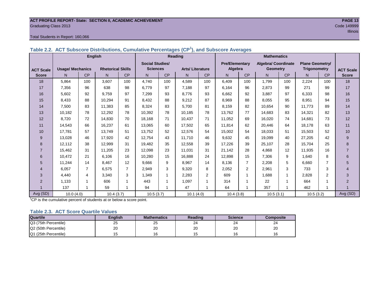#### **ACT PROFILE REPORT- State: SECTION II, ACADEMIC ACHIEVEMENT PAGE 13** Graduating Class 2013 Code 149999

#### Total Students in Report: 160,066

|                  |                         | <b>English</b> |                          |                |                        |           | Reading                |     |                       |                | <b>Mathematics</b>         |           |                        |                |                  |
|------------------|-------------------------|----------------|--------------------------|----------------|------------------------|-----------|------------------------|-----|-----------------------|----------------|----------------------------|-----------|------------------------|----------------|------------------|
|                  |                         |                |                          |                | <b>Social Studies/</b> |           |                        |     | <b>Pre/Elementary</b> |                | <b>Algebra/ Coordinate</b> |           | <b>Plane Geometry/</b> |                |                  |
| <b>ACT Scale</b> | <b>Usage/ Mechanics</b> |                | <b>Rhetorical Skills</b> |                | <b>Sciences</b>        |           | <b>Arts/Literature</b> |     | Algebra               |                | <b>Geometry</b>            |           | Trigonometry           |                | <b>ACT Scale</b> |
| <b>Score</b>     | N.                      | <b>CP</b>      | N                        | CP             | N.                     | <b>CP</b> | N                      | CP  | N.                    | <b>CP</b>      | N                          | <b>CP</b> | N                      | CP             | <b>Score</b>     |
| 18               | 5,864                   | 100            | 3,607                    | 100            | 4.740                  | 100       | 4,589                  | 100 | 6.409                 | 100            | 1.799                      | 100       | 2,224                  | 100            | 18               |
| 17               | 7,356                   | 96             | 638                      | 98             | 6,779                  | 97        | 7.188                  | 97  | 6,164                 | 96             | 2,873                      | 99        | 271                    | 99             | 17               |
| 16               | 5,602                   | 92             | 9.759                    | 97             | 7,299                  | 93        | 8.776                  | 93  | 6,662                 | 92             | 3,887                      | 97        | 6,333                  | 98             | 16               |
| 15               | 8,433                   | 88             | 10,294                   | 91             | 8,432                  | 88        | 9,212                  | 87  | 8.969                 | 88             | 8.055                      | 95        | 8,951                  | 94             | 15               |
| 14               | 7,500                   | 83             | 11,383                   | 85             | 8,324                  | 83        | 5,700                  | 81  | 8,159                 | 82             | 10,654                     | 90        | 11,773                 | 89             | 14               |
| 13               | 10,182                  | 78             | 12,292                   | 78             | 10,392                 | 78        | 10,185                 | 78  | 13,762                | 77             | 14,683                     | 83        | 14,321                 | 82             | 13               |
| 12               | 8,720                   | 72             | 14.830                   | 70             | 18,168                 | 71        | 10,437                 | 71  | 11,052                | 69             | 16.020                     | 74        | 14,681                 | 73             | 12               |
| 11               | 14,543                  | 66             | 16,237                   | 61             | 13,065                 | 60        | 17,502                 | 65  | 11,814                | 62             | 20,446                     | 64        | 18,178                 | 63             | 11               |
| 10               | 17.781                  | 57             | 13,749                   | 51             | 13,752                 | 52        | 12,576                 | 54  | 15,002                | 54             | 18.033                     | 51        | 15,503                 | 52             | 10               |
| 9                | 13,028                  | 46             | 17.920                   | 42             | 12,754                 | 43        | 11.710                 | 46  | 9,632                 | 45             | 19.099                     | 40        | 27,205                 | 42             | 9                |
| 8                | 12,112                  | 38             | 12,999                   | 31             | 19,482                 | 35        | 12,558                 | 39  | 17,226                | 39             | 25,107                     | 28        | 15,704                 | 25             | 8                |
| $\overline{7}$   | 15,462                  | 31             | 11,205                   | 23             | 12,098                 | 23        | 11.031                 | 31  | 21,142                | 28             | 4.868                      | 12        | 11.935                 | 16             | $\overline{7}$   |
| 6                | 10,472                  | 21             | 6,106                    | 16             | 10,280                 | 15        | 16,888                 | 24  | 12,898                | 15             | 7,306                      | 9         | 1,640                  | 8              | 6                |
| 5                | 11,244                  | 14             | 8,467                    | 12             | 9,666                  | 9         | 8,967                  | 14  | 8,136                 | $\overline{7}$ | 2,208                      | 5         | 6,660                  | $\overline{7}$ | 5                |
| 4                | 6,057                   | $\overline{7}$ | 6,575                    | $\overline{7}$ | 2,949                  | 3         | 9,320                  | 8   | 2,052                 | $\overline{2}$ | 2,961                      | 3         | 733                    | 3              | 4                |
| 3                | 4,440                   | $\overline{4}$ | 3,340                    | 3              | 1,349                  | 1         | 2,283                  | 2   | 609                   |                | 1,688                      | 1         | 2,828                  | 2              | 3                |
| $\overline{2}$   | 1,133                   |                | 606                      | 1              | 443                    |           | 1,097                  |     | 314                   |                | 22                         | 4         | 664                    | 1              | $\overline{2}$   |
|                  | 137                     |                | 59                       | 1              | 94                     |           | 47                     |     | 64                    |                | 357                        |           | 462                    | $\overline{ }$ |                  |
| Avg (SD)         | 10.0(4.0)               |                | 10.4(3.7)                |                | 10.5(3.7)              |           | 10.1(4.0)              |     | 10.4(3.8)             |                | 10.5(3.1)                  |           | 10.5(3.2)              |                | Avg (SD)         |

## **Table 2.2. ACT Subscore Distributions, Cumulative Percentages (CP<sup>1</sup> ), and Subscore Averages**

 $1^{\circ}$ CP is the cumulative percent of students at or below a score point.

#### **Table 2.3. ACT Score Quartile Values**

| <b>Quartile</b>      | Enalish | <b>Mathematics</b> | Reading      | <b>Science</b> | Composite |
|----------------------|---------|--------------------|--------------|----------------|-----------|
| Q3 (75th Percentile) | 25      | 25                 | $\sim$<br>24 | 24             | 24        |
| Q2 (50th Percentile) | 20      | 20                 | oc<br>۷J     | 20             | 20        |
| Q1 (25th Percentile) |         |                    |              | 16             | 16        |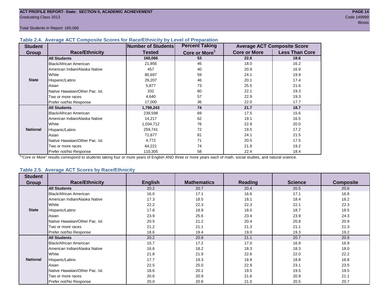### **Table 2.4. Average ACT Composite Scores for Race/Ethnicity by Level of Preparation**

| <b>Student</b>  |                                 | <b>Number of Students</b> | <b>Percent Taking</b>     |                     | <b>Average ACT Composite Score</b> |
|-----------------|---------------------------------|---------------------------|---------------------------|---------------------|------------------------------------|
| <b>Group</b>    | <b>Race/Ethnicity</b>           | <b>Tested</b>             | Core or More <sup>1</sup> | <b>Core or More</b> | <b>Less Than Core</b>              |
|                 | <b>All Students</b>             | 160,066                   | 53                        | 22.6                | 18.6                               |
|                 | Black/African American          | 21,856                    | 46                        | 18.0                | 16.2                               |
|                 | American Indian/Alaska Native   | 457                       | 40                        | 20.9                | 16.9                               |
|                 | <b>White</b>                    | 80,697                    | 59                        | 24.1                | 19.9                               |
| <b>State</b>    | Hispanic/Latino                 | 29,207                    | 46                        | 20.1                | 17.4                               |
|                 | Asian                           | 5,877                     | 73                        | 25.5                | 21.6                               |
|                 | Native Hawaiian/Other Pac. Isl. | 332                       | 60                        | 22.1                | 19.3                               |
|                 | I Two or more races             | 4,640                     | 57                        | 22.9                | 19.3                               |
|                 | Prefer not/No Response          | 17,000                    | 36                        | 22.0                | 17.7                               |
|                 | <b>All Students</b>             | 1,799,243                 | 74                        | 21.7                | 18.7                               |
|                 | Black/African American          | 239,598                   | 69                        | 17.5                | 15.6                               |
|                 | American Indian/Alaska Native   | 14,217                    | 62                        | 19.1                | 16.5                               |
|                 | <b>White</b>                    | 1,034,712                 | 76                        | 22.9                | 20.0                               |
| <b>National</b> | Hispanic/Latino                 | 259,741                   | 72                        | 19.5                | 17.2                               |
|                 | Asian                           | 71,677                    | 81                        | 24.1                | 21.5                               |
|                 | Native Hawaiian/Other Pac. Isl. | 4,772                     | 71                        | 20.5                | 17.5                               |
|                 | I Two or more races             | 64,221                    | 74                        | 21.9                | 19.2                               |
|                 | Prefer not/No Response          | 110,305                   | 58                        | 22.4                | 18.4                               |

<sup>1</sup>"Core or More" results correspond to students taking four or more years of English AND three or more years each of math, social studies, and natural science.

#### **Table 2.5. Average ACT Scores by Race/Ethnicity**

| <b>Student</b>  |                                 |                |                    |                |                |                  |
|-----------------|---------------------------------|----------------|--------------------|----------------|----------------|------------------|
| Group           | <b>Race/Ethnicity</b>           | <b>English</b> | <b>Mathematics</b> | <b>Reading</b> | <b>Science</b> | <b>Composite</b> |
|                 | <b>All Students</b>             | 20.2           | 20.7               | 20.4           | 20.5           | 20.6             |
|                 | Black/African American          | 16.0           | 17.1               | 16.6           | 17.1           | 16.8             |
|                 | American Indian/Alaska Native   | 17.3           | 18.5               | 18.1           | 18.4           | 18.2             |
|                 | White                           | 22.2           | 22.3               | 22.3           | 22.1           | 22.3             |
| <b>State</b>    | Hispanic/Latino                 | 17.8           | 18.9               | 18.0           | 18.7           | 18.5             |
|                 | Asian                           | 23.9           | 25.6               | 23.4           | 23.9           | 24.3             |
|                 | Native Hawaiian/Other Pac. Isl. | 20.5           | 21.2               | 20.4           | 20.8           | 20.9             |
|                 | Two or more races               | 21.2           | 21.1               | 21.3           | 21.1           | 21.3             |
|                 | Prefer not/No Response          | 18.6           | 19.4               | 19.0           | 19.3           | 19.2             |
|                 | <b>All Students</b>             | 20.2           | 20.9               | 21.1           | 20.7           | 20.9             |
|                 | <b>Black/African American</b>   | 15.7           | 17.2               | 17.0           | 16.9           | 16.9             |
|                 | American Indian/Alaska Native   | 16.6           | 18.2               | 18.3           | 18.3           | 18.0             |
|                 | White                           | 21.8           | 21.9               | 22.6           | 22.0           | 22.2             |
| <b>National</b> | Hispanic/Latino                 | 17.7           | 19.3               | 18.9           | 18.8           | 18.8             |
|                 | Asian                           | 22.5           | 25.0               | 22.9           | 23.1           | 23.5             |
|                 | Native Hawaiian/Other Pac. Isl. | 18.6           | 20.1               | 19.5           | 19.5           | 19.5             |
|                 | Two or more races               | 20.6           | 20.9               | 21.6           | 20.9           | 21.1             |
|                 | Prefer not/No Response          | 20.0           | 20.8               | 21.0           | 20.5           | 20.7             |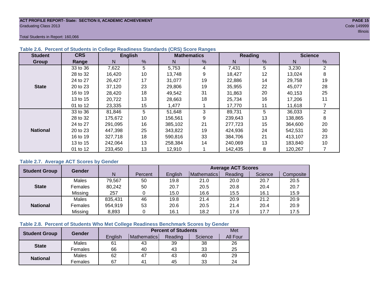#### **ACT PROFILE REPORT- State: SECTION II, ACADEMIC ACHIEVEMENT PAGE 15** Graduating Class 2013 Code 149999

Total Students in Report: 160,066

| <b>Student</b>  | <b>CRS</b> |         | <b>English</b> |         | <b>Mathematics</b> |         | Reading |         | <b>Science</b> |
|-----------------|------------|---------|----------------|---------|--------------------|---------|---------|---------|----------------|
| <b>Group</b>    | Range      | N       | %              | N       | %                  | N       | %       | N       | %              |
|                 | 33 to 36   | 7,622   | 5              | 5,753   | 4                  | 7,431   | 5       | 3,230   | 2              |
|                 | 28 to 32   | 16.420  | 10             | 13.748  | 9                  | 18.427  | 12      | 13.024  | 8              |
|                 | 24 to 27   | 26,427  | 17             | 31,077  | 19                 | 22,886  | 14      | 29,758  | 19             |
| <b>State</b>    | 20 to 23   | 37,120  | 23             | 29.806  | 19                 | 35.955  | 22      | 45.077  | 28             |
|                 | 16 to 19   | 28,420  | 18             | 49.542  | 31                 | 31.863  | 20      | 40,153  | 25             |
|                 | 13 to 15   | 20,722  | 13             | 28,663  | 18                 | 25,734  | 16      | 17,206  | 11             |
|                 | 01 to 12   | 23,335  | 15             | 1,477   |                    | 17,770  | 11      | 11,618  |                |
|                 | 33 to 36   | 81,846  | 5              | 51,648  | 3                  | 89,731  | 5       | 36,033  | $\overline{2}$ |
|                 | 28 to 32   | 175.672 | 10             | 156,561 | 9                  | 239,643 | 13      | 138,865 | 8              |
|                 | 24 to 27   | 291,095 | 16             | 385,102 | 21                 | 277,723 | 15      | 364,600 | 20             |
| <b>National</b> | 20 to 23   | 447,398 | 25             | 343,822 | 19                 | 424,936 | 24      | 542.531 | 30             |
|                 | 16 to 19   | 327,718 | 18             | 590,816 | 33                 | 384.706 | 21      | 413.107 | 23             |
|                 | 13 to 15   | 242.064 | 13             | 258.384 | 14                 | 240.069 | 13      | 183,840 | 10             |
|                 | 01 to 12   | 233,450 | 13             | 12,910  |                    | 142,435 | 8       | 120,267 |                |

## **Table 2.6. Percent of Students in College Readiness Standards (CRS) Score Ranges**

## **Table 2.7. Average ACT Scores by Gender**

| <b>Student Group</b> | <b>Gender</b> |         |         | <b>Average ACT Scores</b> |             |         |         |           |  |  |  |  |
|----------------------|---------------|---------|---------|---------------------------|-------------|---------|---------|-----------|--|--|--|--|
|                      |               | N       | Percent | Enalish                   | Mathematics | Reading | Science | Composite |  |  |  |  |
|                      | Males         | 79,567  | 50      | 19.8                      | 21.0        | 20.0    | 20.7    | 20.5      |  |  |  |  |
| <b>State</b>         | Females       | 80,242  | 50      | 20.7                      | 20.5        | 20.8    | 20.4    | 20.7      |  |  |  |  |
|                      | Missing       | 257     |         | 15.0                      | 16.6        | 15.5    | 16.1    | 15.9      |  |  |  |  |
|                      | Males         | 835,431 | 46      | 19.8                      | 21.4        | 20.9    | 21.2    | 20.9      |  |  |  |  |
| <b>National</b>      | Females       | 954,919 | 53      | 20.6                      | 20.5        | 21.4    | 20.4    | 20.9      |  |  |  |  |
|                      | Missing       | 8,893   | 0       | 16.1                      | 18.2        | 17.6    | 17.7    | 17.5      |  |  |  |  |

### **Table 2.8. Percent of Students Who Met College Readiness Benchmark Scores by Gender**

| <b>Student Group</b> | Gender       |                                                                                                                          |    | <b>Percent of Students</b> |         | Met      |
|----------------------|--------------|--------------------------------------------------------------------------------------------------------------------------|----|----------------------------|---------|----------|
|                      |              | English                                                                                                                  |    | Reading                    | Science | All Four |
| <b>State</b>         | Males        | 61                                                                                                                       | 43 | 39                         | 38      | 26       |
|                      | Females      | <b>Mathematics</b><br>25<br>66<br>40<br>43<br>33<br>29<br>62<br>47<br>43<br>40<br>24<br>67<br>45<br>33<br>4 <sup>1</sup> |    |                            |         |          |
| <b>National</b>      | <b>Males</b> |                                                                                                                          |    |                            |         |          |
|                      | Females      |                                                                                                                          |    |                            |         |          |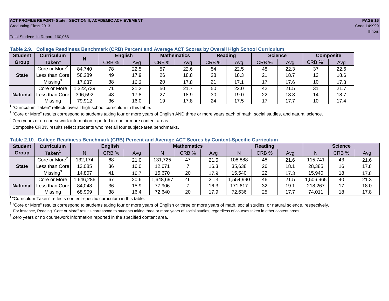#### **ACT PROFILE REPORT- State: SECTION II, ACADEMIC ACHIEVEMENT PAGE 16** Graduating Class 2013 Code 149999

#### Total Students in Report: 160,066

| <b>Student</b>  | Curriculum                              | N        |       | <b>English</b> | <b>Mathematics</b> |      | Reading |      |       | <b>Science</b> | <b>Composite</b> |      |
|-----------------|-----------------------------------------|----------|-------|----------------|--------------------|------|---------|------|-------|----------------|------------------|------|
| Group           | Taken $^{\scriptscriptstyle\mathsf{T}}$ |          | CRB % | Avg            | CRB %              | Ava  | CRB %   | Avg  | CRB % | Avg            | CRB $\%^4$       | Avg  |
|                 | Core or More <sup>2</sup>               | 84,740   | 78    | 22.5           | 57                 | 22.6 | 54      | 22.5 | 48    | 22.3           | 37               | 22.6 |
| <b>State</b>    | Less than Corel                         | 58,289   | 49    | 17.9           | 26                 | 18.8 | 28      | 18.3 | 21    | 18.7           | 13               | 18.6 |
|                 | Missing <sup>3</sup>                    | 17,037   | 38    | 16.3           | 20                 | 17.8 | 21      | 17.1 | 17    | 17.6           | 10               | 17.3 |
|                 | Core or More                            | ,322,739 | 71    | 21.2           | 50                 | 21.7 | 50      | 22.0 | 42    | 21.5           | 31               | 21.7 |
| <b>National</b> | Less than Core                          | 396,592  | 48    | 17.8           | 27                 | 18.9 | 30      | 19.0 | 22    | 18.8           | 14               | 18.7 |
|                 | Missing                                 | 79,912   | 36    | 16.0           | 19                 | 17.8 | 24      | 17.5 | 17    | 17.7           | 10               | 17.4 |

## **Table 2.9. College Readiness Benchmark (CRB) Percent and Average ACT Scores by Overall High School Curriculum**

<sup>1</sup> "Curriculum Taken" reflects overall high school curriculum in this table.

 $^2$  "Core or More" results correspond to students taking four or more years of English AND three or more years each of math, social studies, and natural science.

 $3$  Zero years or no coursework information reported in one or more content areas.

 $4$  Composite CRB% results reflect students who met all four subject-area benchmarks.

#### **Table 2.10. College Readiness Benchmark (CRB) Percent and Average ACT Scores by Content-Specific Curriculum**

| <b>Student</b>  | Curriculum                    |          | <b>English</b> |      | <b>Mathematics</b> |       |      | <b>Reading</b> |       |      | <b>Science</b> |       |      |
|-----------------|-------------------------------|----------|----------------|------|--------------------|-------|------|----------------|-------|------|----------------|-------|------|
| Group           | $\mathsf{Taken}^{\mathsf{T}}$ |          | CRB %          | Avg  | N                  | CRB % | Avg  | N              | CRB % | Avg  | N              | CRB % | Avg  |
|                 | Core or More <sup>2</sup>     | 132,174  | 68             | 21.0 | 131,725            | 47    | 21.5 | 108,888        | 48    | 21.6 | 15,741         | 43    | 21.6 |
| <b>State</b>    | Less than Core                | 13,085   | 36             | 16.0 | 12,671             |       | 16.3 | 35,638         | 26    | 18.7 | 28,385         | 16    | 17.8 |
|                 | Missing <sup>3</sup>          | 14,807   | 41             | 16.7 | 15,670             | 20    | 17.9 | 15,540         | 22    | 17.3 | 15,940         | 18    | 17.8 |
|                 | Core or More                  | .646,286 | 67             | 20.6 | ,648,697           | 46    | 21.3 | .554,990       | 46    | 21.5 | ,506,965       | 40    | 21.3 |
| <b>National</b> | Less than Core                | 84,048   | 36             | 15.9 | 77,906             |       | 16.3 | 171,617        | 32    | 19.7 | 218,267        |       | 18.0 |
|                 | Missing                       | 68,909   | 38             | 16.4 | 72,640             | 20    | 17.9 | 72,636         | 25    | 17.7 | 74,011         | 18    | 17.8 |

<sup>1</sup>"Curriculum Taken" reflects content-specific curriculum in this table.

<sup>2</sup> "Core or More" results correspond to students taking four or more years of English or three or more years of math, social studies, or natural science, respectively. For instance, Reading "Core or More" results correspond to students taking three or more years of social studies, regardless of courses taken in other content areas.

 $3$  Zero years or no coursework information reported in the specified content area.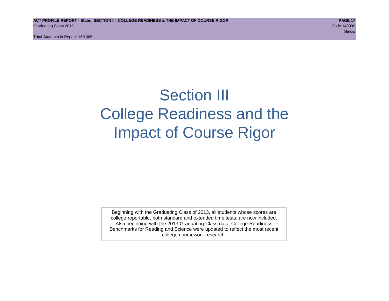## Section III College Readiness and the Impact of Course Rigor

Beginning with the Graduating Class of 2013, all students whose scores are college reportable, both standard and extended time tests, are now included. Also beginning with the 2013 Graduating Class data, College Readiness Benchmarks for Reading and Science were updated to reflect the most recent college coursework research.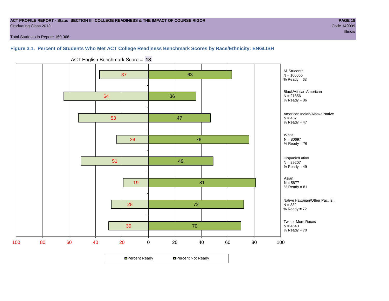#### **ACT PROFILE REPORT - State: SECTION III, COLLEGE READINESS & THE IMPACT OF COURSE RIGOR PAGE 18** Graduating Class 2013 Code 149999

Total Students in Report: 160,066

## **Figure 3.1. Percent of Students Who Met ACT College Readiness Benchmark Scores by Race/Ethnicity: ENGLISH**



ACT English Benchmark Score = **18**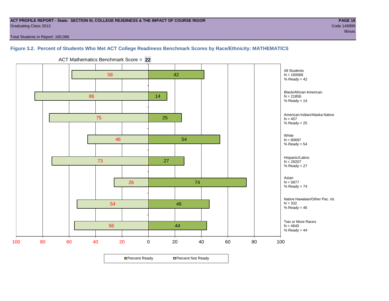#### **ACT PROFILE REPORT - State: SECTION III, COLLEGE READINESS & THE IMPACT OF COURSE RIGOR PAGE 19** Graduating Class 2013 Code 149999

Total Students in Report: 160,066

## **Figure 3.2. Percent of Students Who Met ACT College Readiness Benchmark Scores by Race/Ethnicity: MATHEMATICS**



ACT Mathematics Benchmark Score = **22**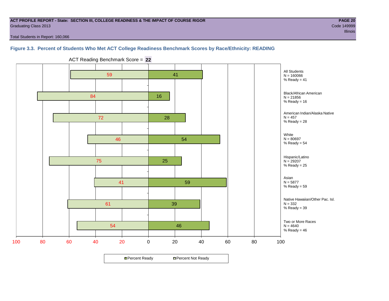#### **ACT PROFILE REPORT - State: SECTION III, COLLEGE READINESS & THE IMPACT OF COURSE RIGOR PAGE 20** Graduating Class 2013 Code 149999

Total Students in Report: 160,066

## **Figure 3.3. Percent of Students Who Met ACT College Readiness Benchmark Scores by Race/Ethnicity: READING**



ACT Reading Benchmark Score = **22**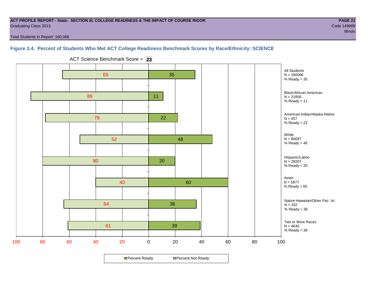#### **ACT PROFILE REPORT - State: SECTION III, COLLEGE READINESS & THE IMPACT OF COURSE RIGOR PAGE 21** Graduating Class 2013 Code 149999

e a comparativa de la comparativa de la comparativa de la comparativa de la comparativa de llinois de llinois

Total Students in Report: 160,066

## **Figure 3.4. Percent of Students Who Met ACT College Readiness Benchmark Scores by Race/Ethnicity: SCIENCE**



ACT Science Benchmark Score = **23**

**□ Percent Ready DPercent Not Ready**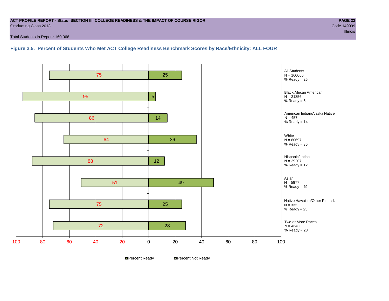#### **ACT PROFILE REPORT - State: SECTION III, COLLEGE READINESS & THE IMPACT OF COURSE RIGOR PAGE 22** Graduating Class 2013 Code 149999

Total Students in Report: 160,066

**Figure 3.5. Percent of Students Who Met ACT College Readiness Benchmark Scores by Race/Ethnicity: ALL FOUR**

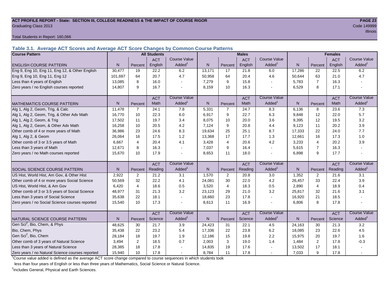#### **ACT PROFILE REPORT - State: SECTION III, COLLEGE READINESS & THE IMPACT OF COURSE RIGOR PAGE 23** Graduating Class 2013 Code 149999

Total Students in Report: 160,066

**Table 3.1. Average ACT Scores and Average ACT Score Changes by Common Course Patterns**

| <b>Course Pattern</b>                            |                |                | <b>All Students</b> |                     |              |                | <b>Males</b> |                     |        |                | <b>Females</b> |                        |
|--------------------------------------------------|----------------|----------------|---------------------|---------------------|--------------|----------------|--------------|---------------------|--------|----------------|----------------|------------------------|
|                                                  |                |                | <b>ACT</b>          | <b>Course Value</b> |              |                | <b>ACT</b>   | <b>Course Value</b> |        |                | <b>ACT</b>     | <b>Course Value</b>    |
| <b>ENGLISH COURSE PATTERN</b>                    | N.             | Percent        | English             | Added               | N            | Percent        | English      | Added               | N      | Percent        | English        | Added <sup>1</sup>     |
| Eng 9, Eng 10, Eng 11, Eng 12, & Other English   | 30,477         | 19             | 22.2                | 6.2                 | 13,171       | 17             | 21.8         | 6.0                 | 17,286 | 22             | 22.5           | 6.2                    |
| Eng 9, Eng 10, Eng 11, Eng 12                    | 101.697        | 64             | 20.7                | 4.7                 | 50.958       | 64             | 20.4         | 4.6                 | 50,644 | 63             | 21.0           | 4.7                    |
| Less than 4 years of English                     | 13,085         | 8              | 16.0                |                     | 7,279        | 9              | 15.8         |                     | 5,783  | $\overline{7}$ | 16.3           |                        |
| Zero years / no English courses reported         | 14,807         | 9              | 16.7                |                     | 8,159        | 10             | 16.3         |                     | 6,529  | 8              | 17.1           |                        |
|                                                  |                |                | <b>ACT</b>          | <b>Course Value</b> |              |                | <b>ACT</b>   | <b>Course Value</b> |        |                | <b>ACT</b>     | <b>Course Value</b>    |
| MATHEMATICS COURSE PATTERN                       | N <sub>1</sub> | Percent        | Math                | Added               | N            | Percent        | Math         | Added               | N      | Percent        | Math           | A d d e d <sup>1</sup> |
| Alg 1, Alg 2, Geom, Trig, & Calc                 | 11,478         | $\overline{7}$ | 24.1                | 7.8                 | 5,331        | $\overline{7}$ | 24.7         | 8.3                 | 6,136  | 8              | 23.6           | 7.3                    |
| Alg 1, Alg 2, Geom, Trig, & Other Adv Math       | 16,770         | 10             | 22.3                | 6.0                 | 6,917        | 9              | 22.7         | 6.3                 | 9,848  | 12             | 22.0           | 5.7                    |
| Alg 1, Alg 2, Geom, & Trig                       | 17,502         | 11             | 19.7                | 3.4                 | 8,075        | 10             | 20.0         | 3.6                 | 9,395  | 12             | 19.5           | 3.2                    |
| Alg 1, Alg 2, Geom, & Other Adv Math             | 16,258         | 10             | 20.5                | 4.2                 | 7,124        | 9              | 20.8         | 4.4                 | 9,123  | 11             | 20.2           | 3.9                    |
| Other comb of 4 or more years of Math            | 36,986         | 23             | 24.6                | 8.3                 | 19,634       | 25             | 25.1         | 8.7                 | 17,333 | 22             | 24.0           | 7.7                    |
| Alg 1, Alg 2, & Geom                             | 26,064         | 16             | 17.5                | 1.2                 | 13,368       | 17             | 17.7         | 1.3                 | 12,661 | 16             | 17.3           | 1.0                    |
| Other comb of 3 or 3.5 years of Math             | 6,667          | 4              | 20.4                | 4.1                 | 3,428        | $\overline{4}$ | 20.6         | 4.2                 | 3,233  | $\overline{4}$ | 20.2           | 3.9                    |
| Less than 3 years of Math                        | 12,671         | 8              | 16.3                |                     | 7,037        | 9              | 16.4         | $\sim$              | 5,615  | $\overline{7}$ | 16.3           |                        |
| Zero years / no Math courses reported            | 15,670         | 10             | 17.9                |                     | 8,653        | 11             | 18.0         |                     | 6,898  | 9              | 17.7           |                        |
|                                                  |                |                | <b>ACT</b>          | <b>Course Value</b> |              |                | <b>ACT</b>   | <b>Course Value</b> |        |                | <b>ACT</b>     | <b>Course Value</b>    |
| SOCIAL SCIENCE COURSE PATTERN                    | N              | Percent        | Reading             | Added               | N.           | Percent        | Reading      | Added               | N      | Percent        | Reading        | A d d e d <sup>1</sup> |
| US Hist, World Hist, Am Gov, & Other Hist        | 2.922          | $\overline{2}$ | 21.2                | 3.1                 | 1,570        | 2              | 20.8         | 3.0                 | 1,352  | 2              | 21.6           | 3.1                    |
| Other comb of 4 or more years Social Science     | 50,569         | 32             | 22.2                | 4.1                 | 24,081       | 30             | 22.0         | 4.2                 | 26,457 | 33             | 22.4           | 3.9                    |
| US Hist, World Hist, & Am Gov                    | 6,420          | $\overline{4}$ | 18.6                | 0.5                 | 3,520        | $\overline{4}$ | 18.3         | 0.5                 | 2,890  | $\overline{4}$ | 18.9           | 0.4                    |
| Other comb of 3 or 3.5 years of Social Science   | 48,977         | 31             | 21.3                | 3.2                 | 23,123       | 29             | 21.0         | 3.2                 | 25,817 | 32             | 21.6           | 3.1                    |
| Less than 3 years of Social Science              | 35,638         | 22             | 18.1                |                     | 18,660       | 23             | 17.8         |                     | 16,920 | 21             | 18.5           |                        |
| Zero years / no Social Science courses reported  | 15,540         | 10             | 17.3                |                     | 8,613        | 11             | 16.9         |                     | 6,806  | 8              | 17.8           | $\sim$                 |
|                                                  |                |                | <b>ACT</b>          | <b>Course Value</b> |              |                | <b>ACT</b>   | <b>Course Value</b> |        |                | <b>ACT</b>     | <b>Course Value</b>    |
| NATURAL SCIENCE COURSE PATTERN                   | N              | Percent        | Science             | Added               | $\mathsf{N}$ | Percent        | Science      | Added               | N      | Percent        | Science        | A d d e d <sup>1</sup> |
| Gen Sci <sup>2</sup> , Bio, Chem, & Phys         | 48,625         | 30             | 21.7                | 3.9                 | 24,423       | 31             | 22.1         | 4.5                 | 24,163 | 30             | 21.3           | 3.2                    |
| Bio, Chem, Phys                                  | 35,438         | 22             | 23.2                | 5.4                 | 17,336       | 22             | 23.8         | 6.2                 | 18,085 | 23             | 22.6           | 4.5                    |
| Gen Sci <sup>2</sup> , Bio, Chem                 | 28,184         | 18             | 19.7                | 1.9                 | 12,186       | 15             | 19.8         | 2.2                 | 15,975 | 20             | 19.7           | 1.6                    |
| Other comb of 3 years of Natural Science         | 3,494          | $\overline{2}$ | 18.5                | 0.7                 | 2,003        | 3              | 19.0         | 1.4                 | 1,484  | $\overline{2}$ | 17.8           | $-0.3$                 |
| Less than 3 years of Natural Science             | 28,385         | 18             | 17.8                |                     | 14,835       | 19             | 17.6         |                     | 13,502 | 17             | 18.1           |                        |
| Zero years / no Natural Science courses reported | 15,940         | 10             | 17.8                |                     | 8,784        | 11             | 17.8         |                     | 7,033  | 9              | 17.8           |                        |

<sup>1</sup>Course value added is defined as the average ACT score change compared to course sequences in which students took

less than four years of English or less than three years of Mathematics, Social Science or Natural Science.

<sup>2</sup>Includes General, Physical and Earth Sciences.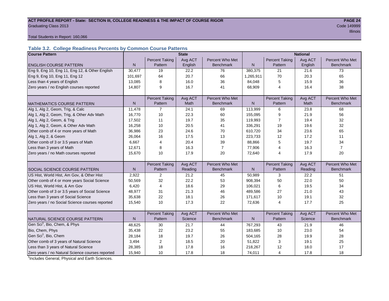#### ACT PROFILE REPORT - State: SECTION III, COLLEGE READINESS & THE IMPACT OF COURSE RIGOR **PAGE 24 Graduating Class 2013** Code 149999

e a construction de la construction de la construction de la construction de la construction de llinois de lli

#### Total Students in Report: 160,066

## **Table 3.2. College Readiness Percents by Common Course Patterns**

| <b>Course Pattern</b>                            |              |                       | <b>State</b> |                  |              |                       | <b>National</b> |                  |
|--------------------------------------------------|--------------|-----------------------|--------------|------------------|--------------|-----------------------|-----------------|------------------|
|                                                  |              | <b>Percent Taking</b> | Avg ACT      | Percent Who Met  |              | <b>Percent Taking</b> | Avg ACT         | Percent Who Met  |
| <b>ENGLISH COURSE PATTERN</b>                    | $\mathsf{N}$ | Pattern               | English      | <b>Benchmark</b> | $\mathsf{N}$ | Pattern               | English         | <b>Benchmark</b> |
| Eng 9, Eng 10, Eng 11, Eng 12, & Other English   | 30,477       | 19                    | 22.2         | 76               | 380,375      | 21                    | 21.6            | 73               |
| Eng 9, Eng 10, Eng 11, Eng 12                    | 101,697      | 64                    | 20.7         | 66               | 1,265,911    | 70                    | 20.3            | 65               |
| Less than 4 years of English                     | 13,085       | 8                     | 16.0         | 36               | 84,048       | 5                     | 15.9            | 36               |
| Zero years / no English courses reported         | 14,807       | 9                     | 16.7         | 41               | 68,909       | $\overline{4}$        | 16.4            | 38               |
|                                                  |              |                       |              |                  |              |                       |                 |                  |
|                                                  |              | <b>Percent Taking</b> | Avg ACT      | Percent Who Met  |              | <b>Percent Taking</b> | Avg ACT         | Percent Who Met  |
| <b>MATHEMATICS COURSE PATTERN</b>                | N            | Pattern               | Math         | <b>Benchmark</b> | N            | Pattern               | Math            | <b>Benchmark</b> |
| Alg 1, Alg 2, Geom, Trig, & Calc                 | 11,478       | $\overline{7}$        | 24.1         | 69               | 113,999      | 6                     | 23.8            | 68               |
| Alg 1, Alg 2, Geom, Trig, & Other Adv Math       | 16,770       | 10                    | 22.3         | 60               | 155,095      | 9                     | 21.9            | 56               |
| Alg 1, Alg 2, Geom, & Trig                       | 17,502       | 11                    | 19.7         | 35               | 119,993      | 7                     | 19.4            | 32               |
| Alg 1, Alg 2, Geom, & Other Adv Math             | 16,258       | 10                    | 20.5         | 41               | 336,291      | 19                    | 19.6            | 32               |
| Other comb of 4 or more years of Math            | 36,986       | 23                    | 24.6         | 70               | 610,720      | 34                    | 23.6            | 65               |
| Alg 1, Alg 2, & Geom                             | 26,064       | 16                    | 17.5         | 13               | 223,733      | 12                    | 17.2            | 11               |
| Other comb of 3 or 3.5 years of Math             | 6,667        | $\overline{4}$        | 20.4         | 39               | 88,866       | 5                     | 19.7            | 34               |
| Less than 3 years of Math                        | 12,671       | 8                     | 16.3         | $\overline{7}$   | 77,906       | 4                     | 16.3            | $\overline{7}$   |
| Zero years / no Math courses reported            | 15,670       | 10                    | 17.9         | 20               | 72,640       | 4                     | 17.9            | 20               |
|                                                  |              |                       |              |                  |              |                       |                 |                  |
|                                                  |              | <b>Percent Taking</b> | Avg ACT      | Percent Who Met  |              | <b>Percent Taking</b> | Avg ACT         | Percent Who Met  |
| <b>SOCIAL SCIENCE COURSE PATTERN</b>             | N            | Pattern               | Reading      | <b>Benchmark</b> | N            | Pattern               | Reading         | <b>Benchmark</b> |
| US Hist, World Hist, Am Gov, & Other Hist        | 2,922        | 2                     | 21.2         | 45               | 50,989       | 3                     | 22.2            | 51               |
| Other comb of 4 or more years Social Science     | 50,569       | 32                    | 22.2         | 53               | 908,394      | 50                    | 22.0            | 50               |
| US Hist, World Hist, & Am Gov                    | 6,420        | 4                     | 18.6         | 29               | 106,021      | 6                     | 19.5            | 34               |
| Other comb of 3 or 3.5 years of Social Science   | 48,977       | 31                    | 21.3         | 46               | 489,586      | 27                    | 21.0            | 43               |
| Less than 3 years of Social Science              | 35,638       | 22                    | 18.1         | 26               | 171,617      | 10                    | 19.1            | 32               |
| Zero years / no Social Science courses reported  | 15,540       | 10                    | 17.3         | 22               | 72,636       | $\overline{4}$        | 17.7            | 25               |
|                                                  |              |                       |              |                  |              |                       |                 |                  |
|                                                  |              | <b>Percent Taking</b> | Avg ACT      | Percent Who Met  |              | <b>Percent Taking</b> | Avg ACT         | Percent Who Met  |
| NATURAL SCIENCE COURSE PATTERN                   | N            | Pattern               | Science      | <b>Benchmark</b> | N            | Pattern               | Science         | <b>Benchmark</b> |
| Gen Sci <sup>1</sup> , Bio, Chem, & Phys         | 48,625       | 30                    | 21.7         | 44               | 767,293      | 43                    | 21.9            | 46               |
| Bio, Chem, Phys                                  | 35,438       | 22                    | 23.2         | 55               | 183,685      | 10                    | 23.0            | 54               |
| Gen Sci <sup>1</sup> , Bio, Chem                 | 28,184       | 18                    | 19.7         | 26               | 504,165      | 28                    | 19.9            | 28               |
| Other comb of 3 years of Natural Science         | 3,494        | 2                     | 18.5         | 20               | 51,822       | 3                     | 19.1            | 25               |
| Less than 3 years of Natural Science             | 28,385       | 18                    | 17.8         | 16               | 218,267      | 12                    | 18.0            | 17               |
| Zero years / no Natural Science courses reported | 15,940       | 10                    | 17.8         | 18               | 74,011       | 4                     | 17.8            | 18               |

<sup>1</sup>Includes General, Physical and Earth Sciences.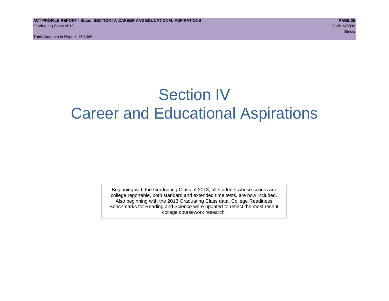## Section IV Career and Educational Aspirations

Beginning with the Graduating Class of 2013, all students whose scores are college reportable, both standard and extended time tests, are now included. Also beginning with the 2013 Graduating Class data, College Readiness Benchmarks for Reading and Science were updated to reflect the most recent college coursework research.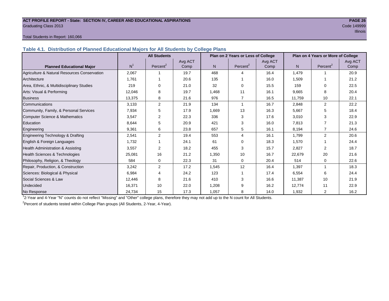#### **ACT PROFILE REPORT - State: SECTION IV, CAREER AND EDUCATIONAL ASPIRATIONS PAGE 26** Graduating Class 2013 Code 149999

#### Total Students in Report: 160,066

**Table 4.1. Distribution of Planned Educational Majors for All Students by College Plans**

|                                              |                | <b>All Students</b>  |                 |       | Plan on 2 Years or Less of College |                 |        | Plan on 4 Years or More of College |                 |
|----------------------------------------------|----------------|----------------------|-----------------|-------|------------------------------------|-----------------|--------|------------------------------------|-----------------|
| <b>Planned Educational Major</b>             | N <sup>1</sup> | Percent <sup>2</sup> | Avg ACT<br>Comp | N.    | Percent <sup>2</sup>               | Avg ACT<br>Comp | N.     | Percent <sup>2</sup>               | Avg ACT<br>Comp |
| Agriculture & Natural Resources Conservation | 2,067          |                      | 19.7            | 468   | Δ                                  | 16.4            | 1,479  |                                    | 20.9            |
| Architecture                                 | 1.761          |                      | 20.6            | 135   |                                    | 16.0            | 1,509  |                                    | 21.2            |
| Area, Ethnic, & Multidisciplinary Studies    | 219            | $\Omega$             | 21.0            | 32    | $\Omega$                           | 15.5            | 159    | $\Omega$                           | 22.5            |
| Arts: Visual & Performing                    | 12,046         | 8                    | 19.7            | 1,468 | 11                                 | 16.1            | 9,665  | 8                                  | 20.4            |
| <b>Business</b>                              | 13,375         | 8                    | 21.6            | 976   | $\overline{7}$                     | 16.5            | 11,759 | 10                                 | 22.1            |
| Communications                               | 3,133          | 2                    | 21.9            | 134   |                                    | 16.7            | 2,848  | 2                                  | 22.2            |
| Community, Family, & Personal Services       | 7,934          | 5                    | 17.9            | 1,669 | 13                                 | 16.3            | 5,667  | 5                                  | 18.4            |
| Computer Science & Mathematics               | 3,547          | 2                    | 22.3            | 336   | 3                                  | 17.6            | 3,010  | 3                                  | 22.9            |
| Education                                    | 8,644          | 5                    | 20.9            | 421   | 3                                  | 16.0            | 7,813  |                                    | 21.3            |
| Engineering                                  | 9,361          | 6                    | 23.8            | 657   | 5                                  | 16.1            | 8,194  | $\overline{7}$                     | 24.6            |
| Engineering Technology & Drafting            | 2,541          | 2                    | 19.4            | 553   | $\overline{4}$                     | 16.1            | 1,799  | $\overline{2}$                     | 20.6            |
| English & Foreign Languages                  | 1,732          |                      | 24.1            | 61    | $\Omega$                           | 18.3            | 1,570  |                                    | 24.4            |
| Health Administration & Assisting            | 3,557          | $\overline{2}$       | 18.2            | 455   | 3                                  | 15.7            | 2,827  | 2                                  | 18.7            |
| Health Sciences & Technologies               | 25,081         | 16                   | 21.2            | 1,350 | 10                                 | 16.7            | 22,679 | 20                                 | 21.6            |
| Philosophy, Religion, & Theology             | 584            | 0                    | 22.3            | 31    | $\Omega$                           | 20.4            | 514    | $\mathbf 0$                        | 22.6            |
| Repair, Production, & Construction           | 3,242          | 2                    | 17.2            | 1,545 | 12                                 | 16.4            | 1,397  |                                    | 18.3            |
| Sciences: Biological & Physical              | 6,984          | 4                    | 24.2            | 123   |                                    | 17.4            | 6,554  | 6                                  | 24.4            |
| Social Sciences & Law                        | 12,446         | 8                    | 21.6            | 410   | 3                                  | 16.6            | 11,387 | 10                                 | 21.9            |
| Undecided                                    | 16,371         | 10                   | 22.0            | 1,208 | 9                                  | 16.2            | 12,774 | 11                                 | 22.9            |
| No Response                                  | 24,734         | 15                   | 17.3            | 1,057 | 8                                  | 14.0            | 1,932  | 2                                  | 16.2            |

1 2-Year and 4-Year "N" counts do not reflect "Missing" and "Other" college plans, therefore they may not add up to the N count for All Students.

<sup>2</sup> Percent of students tested within College Plan groups (All Students, 2-Year, 4-Year).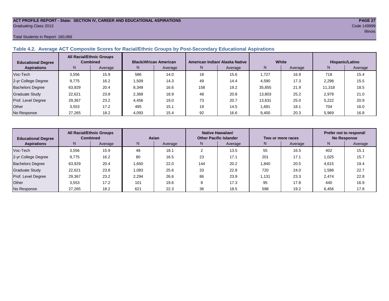#### **ACT PROFILE REPORT - State: SECTION IV, CAREER AND EDUCATIONAL ASPIRATIONS PAGE 27** Graduating Class 2013 Code 149999

#### Total Students in Report: 160,066

## **Table 4.2. Average ACT Composite Scores for Racial/Ethnic Groups by Post-Secondary Educational Aspirations**

| <b>Educational Degree</b> |        | <b>All Racial/Ethnic Groups</b><br><b>Combined</b> |       | <b>Black/African American</b> |     | American Indian/ Alaska Native |        | White   |        | Hispanic/Latino |
|---------------------------|--------|----------------------------------------------------|-------|-------------------------------|-----|--------------------------------|--------|---------|--------|-----------------|
| <b>Aspirations</b>        | N      | Average                                            | N.    | Average                       | N.  | Average                        | N      | Average | N      | Average         |
| Voc-Tech                  | 3,556  | 15.9                                               | 586   | 14.0                          | 18  | 15.6                           | 1,727  | 16.9    | 718    | 15.4            |
| 2-yr College Degree       | 9,775  | 16.2                                               | .509  | 14.3                          | 49  | 14.4                           | 4,590  | 17.3    | 2,298  | 15.5            |
| <b>Bachelors Degree</b>   | 63,929 | 20.4                                               | 8,349 | 16.6                          | 158 | 19.2                           | 35,855 | 21.9    | 11,318 | 18.5            |
| Graduate Study            | 22.621 | 23.8                                               | 2,368 | 18.9                          | 48  | 20.8                           | 13.803 | 25.2    | 2,978  | 21.0            |
| Prof. Level Degree        | 29,367 | 23.2                                               | 4,456 | 19.0                          | 73  | 20.7                           | 13,631 | 25.0    | 5.222  | 20.9            |
| Other                     | 3.553  | 17.2                                               | 495   | 15.1                          | 19  | 14.5                           | 1.691  | 18.1    | 704    | 16.0            |
| No Response               | 27,265 | 18.2                                               | 4,093 | 15.4                          | 92  | 16.6                           | 9,400  | 20.3    | 5,969  | 16.8            |

| <b>Educational Degree</b> |        | <b>All Racial/Ethnic Groups</b><br><b>Combined</b> |       | Asian   |     | Native Hawaiian/<br><b>Other Pacific Islander</b> |       | Two or more races |       | Prefer not to respond/<br><b>No Response</b> |
|---------------------------|--------|----------------------------------------------------|-------|---------|-----|---------------------------------------------------|-------|-------------------|-------|----------------------------------------------|
| <b>Aspirations</b>        | N      | Average                                            | N.    | Average | N.  | Average                                           | N     | Average           | N     | Average                                      |
| Voc-Tech                  | 3.556  | 15.9                                               | 48    | 18.1    |     | 13.5                                              | 55    | 16.5              | 402   | 15.1                                         |
| 2-yr College Degree       | 9,775  | 16.2                                               | 80    | 16.5    | 23  | 17.1                                              | 201   | 17.1              | 1,025 | 15.7                                         |
| <b>Bachelors Degree</b>   | 63,929 | 20.4                                               | 1,650 | 22.0    | 144 | 20.2                                              | 1.840 | 20.5              | 4,615 | 19.4                                         |
| <b>Graduate Study</b>     | 22.621 | 23.8                                               | 1,083 | 25.6    | 33  | 22.8                                              | 720   | 24.0              | 1,588 | 22.7                                         |
| Prof. Level Degree        | 29,367 | 23.2                                               | 2,294 | 26.6    | 86  | 23.9                                              | 1,131 | 23.3              | 2.474 | 22.8                                         |
| Other                     | 3,553  | 17.2                                               | 101   | 19.6    | C   | 17.3                                              | 95    | 17.8              | 440   | 16.9                                         |
| No Response               | 27,265 | 18.2                                               | 621   | 22.3    | 36  | 18.5                                              | 598   | 19.2              | 6,456 | 17.8                                         |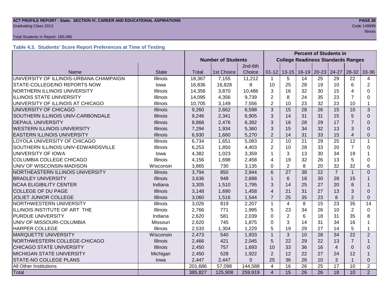#### **ACT PROFILE REPORT - State: SECTION IV, CAREER AND EDUCATIONAL ASPIRATIONS PAGE 28 Graduating Class 2013** Code 149999

#### Total Students in Report: 160,066

## **Table 4.3. Students' Score Report Preferences at Time of Testing**

|                                         |                 |         |                           |          | <b>Percent of Students in</b> |                 |                 |                 |                |                                           |                |
|-----------------------------------------|-----------------|---------|---------------------------|----------|-------------------------------|-----------------|-----------------|-----------------|----------------|-------------------------------------------|----------------|
|                                         |                 |         | <b>Number of Students</b> |          |                               |                 |                 |                 |                | <b>College Readiness Standards Ranges</b> |                |
|                                         |                 |         |                           | 2nd-6th  |                               |                 |                 |                 |                |                                           |                |
| Name                                    | <b>State</b>    | Total   | 1st Choice                | Choice   | $01 - 12$                     |                 | $13 - 15$ 16-19 | $20 - 23$       | 24-27          | $28-32$                                   | 33-36          |
| UNIVERSITY OF ILLINOIS-URBANA CHAMPAIGN | Illinois        | 18,367  | 7,155                     | 11,212   | $\mathbf{1}$                  | 5               | 14              | 25              | 29             | 22                                        | 4              |
| STATE-COLLEGE/NO REPORTS NOW            | lowa            | 16,836  | 16,828                    | 8        | 10                            | 25              | 28              | 19              | 10             | 6                                         | $\overline{2}$ |
| NORTHERN ILLINOIS UNIVERSITY            | Illinois        | 14,356  | 3,870                     | 10,486   | 3                             | 16              | 32              | 30              | 15             | 4                                         | 0              |
| <b>ILLINOIS STATE UNIVERSITY</b>        | Illinois        | 14,095  | 4,356                     | 9,739    | $\overline{2}$                | 8               | 24              | 35              | 23             | $\overline{7}$                            | 0              |
| UNIVERSITY OF ILLINOIS AT CHICAGO       | Illinois        | 10,705  | 3,149                     | 7,556    | $\overline{2}$                | 10              | 23              | 32              | 23             | 10                                        | 1              |
| UNIVERSITY OF CHICAGO                   | <b>Illinois</b> | 9,260   | 2,662                     | 6,598    | 3                             | 15              | 28              | 26              | 15             | 10                                        | 3              |
| SOUTHERN ILLINOIS UNIV-CARBONDALE       | <b>Illinois</b> | 9,246   | 2,341                     | 6,905    | 3                             | 14              | 31              | 31              | 15             | 5                                         | $\Omega$       |
| <b>DEPAUL UNIVERSITY</b>                | <b>Illinois</b> | 8,868   | 2,476                     | 6,392    | 3                             | 16              | 28              | 29              | 17             | 7                                         | $\Omega$       |
| <b>WESTERN ILLINOIS UNIVERSITY</b>      | <b>Illinois</b> | 7,294   | 1,934                     | 5,360    | 3                             | 15              | 34              | 32              | 13             | 3                                         | $\Omega$       |
| <b>EASTERN ILLINOIS UNIVERSITY</b>      | <b>Illinois</b> | 6,930   | 1,660                     | 5,270    | $\overline{2}$                | 14              | 31              | 33              | 15             | $\overline{4}$                            | 0              |
| LOYOLA UNIVERSITY OF CHICAGO            | <b>Illinois</b> | 6,734   | 1,651                     | 5,083    | $\overline{2}$                | 10              | 21              | 29              | 25             | 12                                        | $\mathbf{1}$   |
| SOUTHERN ILLINOIS UNIV-EDWARDSVILLE     | Illinois        | 6,253   | 1,850                     | 4,403    | $\overline{2}$                | 10              | 28              | 33              | 20             | $\overline{7}$                            | 0              |
| UNIVERSITY OF IOWA                      | lowa            | 4,382   | 1,023                     | 3,359    | $\mathbf 1$                   | 3               | 13              | 30              | 34             | 19                                        |                |
| <b>COLUMBIA COLLEGE CHICAGO</b>         | <b>Illinois</b> | 4,156   | 1,698                     | 2,458    | 4                             | 19              | 32              | 26              | 13             | 5                                         | 0              |
| UNIV OF WISCONSIN-MADISON               | Wisconsin       | 3,865   | 730                       | 3,135    | $\Omega$                      | 2               | 8               | 20              | 32             | 32                                        | 6              |
| NORTHEASTERN ILLINOIS UNIVERSITY        | <b>Illinois</b> | 3,794   | 850                       | 2,944    | 6                             | 27              | 38              | 22              | $\overline{7}$ |                                           | $\overline{0}$ |
| <b>BRADLEY UNIVERSITY</b>               | <b>Illinois</b> | 3,636   | 948                       | 2,688    | $\mathbf{1}$                  | 6               | 18              | 30              | 28             | 15                                        | 1              |
| <b>NCAA ELIGIBILITY CENTER</b>          | Indiana         | 3,305   | 1,510                     | 1,795    | 3                             | 14              | 25              | 27              | 20             | 8                                         |                |
| <b>COLLEGE OF DU PAGE</b>               | <b>Illinois</b> | 3,148   | 1,690                     | 1,458    | $\overline{4}$                | 21              | 31              | 27              | 13             | 3                                         | $\Omega$       |
| <b>JOLIET JUNIOR COLLEGE</b>            | <b>Illinois</b> | 3,060   | 1,516                     | 1,544    | $\overline{7}$                | 25              | 35              | 23              | 8              | $\overline{2}$                            | $\Omega$       |
| NORTHWESTERN UNIVERSITY                 | Illinois        | 3,026   | 819                       | 2,207    | $\mathbf{1}$                  | $\overline{4}$  | 8               | 15              | 23             | 35                                        | 14             |
| ILLINOIS INSTITUTE OF ART THE           | Illinois        | 2,766   | 771                       | 1,995    | 5                             | 23              | 34              | 26              | 10             | $\overline{2}$                            | 0              |
| PURDUE UNIVERSITY                       | Indiana         | 2,620   | 581                       | 2,039    | $\Omega$                      | $\overline{2}$  | 6               | 18              | 31             | 35                                        | 8              |
| UNIV OF MISSOURI-COLUMBIA               | Missouri        | 2,620   | 745                       | 1,875    | $\Omega$                      | 3               | 14              | 31              | 34             | 16                                        | 1              |
| <b>HARPER COLLEGE</b>                   | Illinois        | 2,533   | 1,304                     | 1,229    | 5                             | 19              | 29              | 27              | 14             | 5                                         | $\mathbf{1}$   |
| <b>MARQUETTE UNIVERSITY</b>             | Wisconsin       | 2,473   | 540                       | 1,933    | $\mathbf{1}$                  | 3               | 10              | 28              | 34             | 22                                        | 2              |
| NORTHWESTERN COLLEGE-CHICAGO            | <b>Illinois</b> | 2,466   | 421                       | 2,045    | 5                             | 22              | 29              | 22              | 13             | 7                                         | 1              |
| <b>CHICAGO STATE UNIVERSITY</b>         | <b>Illinois</b> | 2,450   | 757                       | 1,693    | 10                            | 33              | 36              | 16              | $\overline{4}$ | $\Omega$                                  | $\Omega$       |
| <b>MICHIGAN STATE UNIVERSITY</b>        | Michigan        | 2,450   | 528                       | 1,922    | 2                             | 12              | 22              | 27              | 24             | 12                                        | 1              |
| STATE-NO COLLEGE PLANS                  | lowa            | 2,447   | 2,447                     | $\Omega$ | 25                            | 36              | 26              | 10              | 3              |                                           | 0              |
| All Other Institutions                  |                 | 201,686 | 57,098                    | 144,588  | 4                             | 16              | 26              | 25              | 17             | 10                                        | $\overline{2}$ |
| Total                                   |                 | 385,827 | 125,908                   | 259,919  | $\overline{\mathbf{4}}$       | $\overline{15}$ | $\overline{26}$ | $\overline{26}$ | 18             | 10                                        | 2              |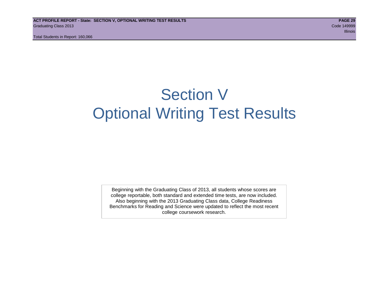## Section V Optional Writing Test Results

Beginning with the Graduating Class of 2013, all students whose scores are college reportable, both standard and extended time tests, are now included. Also beginning with the 2013 Graduating Class data, College Readiness Benchmarks for Reading and Science were updated to reflect the most recent college coursework research.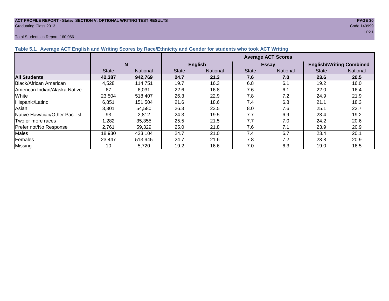## **ACT PROFILE REPORT - State: SECTION V, OPTIONAL WRITING TEST RESULTS PAGE 30** Graduating Class 2013 Code 149999

#### Total Students in Report: 160,066

|                                 |              |                 | <b>Average ACT Scores</b> |                |              |              |                                 |                 |  |  |  |
|---------------------------------|--------------|-----------------|---------------------------|----------------|--------------|--------------|---------------------------------|-----------------|--|--|--|
|                                 | N            |                 |                           | <b>English</b> |              | <b>Essay</b> | <b>English/Writing Combined</b> |                 |  |  |  |
|                                 | <b>State</b> | <b>National</b> | <b>State</b>              | National       | <b>State</b> | National     | <b>State</b>                    | <b>National</b> |  |  |  |
| <b>All Students</b>             | 42.387       | 942,769         | 24.7                      | 21.3           | 7.6          | 7.0          | 23.6                            | 20.5            |  |  |  |
| Black/African American          | 4,528        | 114.751         | 19.7                      | 16.3           | 6.8          | 6.1          | 19.2                            | 16.0            |  |  |  |
| American Indian/Alaska Native   | 67           | 6.031           | 22.6                      | 16.8           | 7.6          | 6.1          | 22.0                            | 16.4            |  |  |  |
| White                           | 23,504       | 518.407         | 26.3                      | 22.9           | 7.8          | 7.2          | 24.9                            | 21.9            |  |  |  |
| Hispanic/Latino                 | 6.851        | 151.504         | 21.6                      | 18.6           | 7.4          | 6.8          | 21.1                            | 18.3            |  |  |  |
| Asian                           | 3.301        | 54,580          | 26.3                      | 23.5           | 8.0          | 7.6          | 25.1                            | 22.7            |  |  |  |
| Native Hawaiian/Other Pac. Isl. | 93           | 2,812           | 24.3                      | 19.5           | 7.7          | 6.9          | 23.4                            | 19.2            |  |  |  |

|Two or more races | 1,282 | 35,355 | 25.5 | 21.5 | 7.7 | 7.0 | 24.2 | 20.6 Prefer not/No Response | 2,761 | 59,329 | 25.0 | 21.8 | 7.6 | 7.1 | 23.9 | 20.9 Males | 18,930 | 423,104 | 24.7 | 21.0 | 7.4 | 6.7 | 23.4 | 20.1 Females 23,447 513,945 24.7 21.6 7.8 7.2 23.8 20.9 Missing | 10 | 5,720 | 19.2 | 16.6 | 7.0 | 6.3 | 19.0 | 16.5